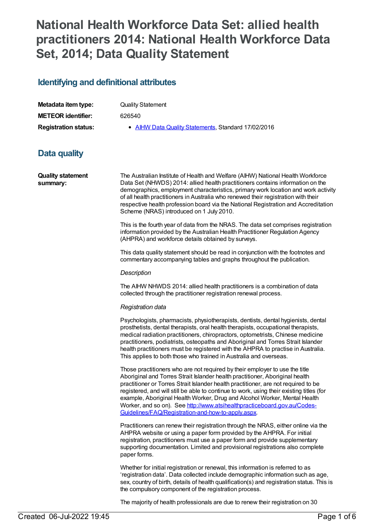# **National Health Workforce Data Set: allied health practitioners 2014: National Health Workforce Data Set, 2014; Data Quality Statement**

# **Identifying and definitional attributes**

| Metadata item type:         | <b>Quality Statement</b>                            |
|-----------------------------|-----------------------------------------------------|
| <b>METEOR</b> identifier:   | 626540                                              |
| <b>Registration status:</b> | • AIHW Data Quality Statements, Standard 17/02/2016 |

# **Data quality**

**Quality statement summary:**

The Australian Institute of Health and Welfare (AIHW) National Health Workforce Data Set (NHWDS) 2014: allied health practitioners contains information on the demographics, employment characteristics, primary work location and work activity of all health practitioners in Australia who renewed their registration with their respective health profession board via the National Registration and Accreditation Scheme (NRAS) introduced on 1 July 2010.

This is the fourth year of data from the NRAS. The data set comprises registration information provided by the Australian Health Practitioner Regulation Agency (AHPRA) and workforce details obtained by surveys.

This data quality statement should be read in conjunction with the footnotes and commentary accompanying tables and graphs throughout the publication.

### *Description*

The AIHW NHWDS 2014: allied health practitioners is a combination of data collected through the practitioner registration renewal process.

### *Registration data*

Psychologists, pharmacists, physiotherapists, dentists, dental hygienists, dental prosthetists, dental therapists, oral health therapists, occupational therapists, medical radiation practitioners, chiropractors, optometrists, Chinese medicine practitioners, podiatrists, osteopaths and Aboriginal and Torres Strait Islander health practitioners must be registered with the AHPRA to practise in Australia. This applies to both those who trained in Australia and overseas.

Those practitioners who are not required by their employer to use the title Aboriginal and Torres Strait Islander health practitioner, Aboriginal health practitioner or Torres Strait Islander health practitioner, are not required to be registered, and will still be able to continue to work, using their existing titles (for example, Aboriginal Health Worker, Drug and Alcohol Worker, Mental Health Worker, and so on). See [http://www.atsihealthpracticeboard.gov.au/Codes-](http://www.atsihealthpracticeboard.gov.au/Codes-Guidelines/FAQ/Registration-and-how-to-apply.aspx)Guidelines/FAQ/Registration-and-how-to-apply.aspx.

Practitioners can renew their registration through the NRAS, either online via the AHPRA website or using a paper form provided by the AHPRA. For initial registration, practitioners must use a paper form and provide supplementary supporting documentation. Limited and provisional registrations also complete paper forms.

Whether for initial registration or renewal, this information is referred to as 'registration data'. Data collected include demographic information such as age, sex, country of birth, details of health qualification(s) and registration status. This is the compulsory component of the registration process.

The majority of health professionals are due to renew their registration on 30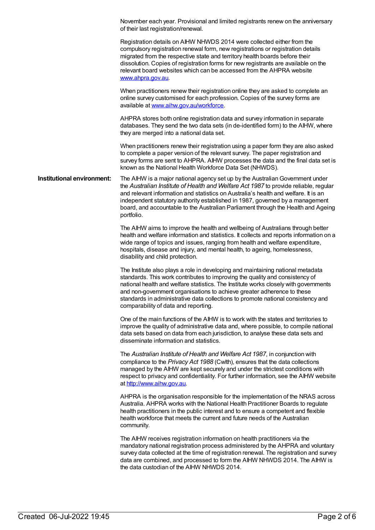|                            | November each year. Provisional and limited registrants renew on the anniversary<br>of their last registration/renewal.                                                                                                                                                                                                                                                                                                                                       |  |  |  |  |  |  |
|----------------------------|---------------------------------------------------------------------------------------------------------------------------------------------------------------------------------------------------------------------------------------------------------------------------------------------------------------------------------------------------------------------------------------------------------------------------------------------------------------|--|--|--|--|--|--|
|                            | Registration details on AIHW NHWDS 2014 were collected either from the<br>compulsory registration renewal form, new registrations or registration details<br>migrated from the respective state and territory health boards before their<br>dissolution. Copies of registration forms for new registrants are available on the<br>relevant board websites which can be accessed from the AHPRA website<br>www.ahpra.gov.au.                                   |  |  |  |  |  |  |
|                            | When practitioners renew their registration online they are asked to complete an<br>online survey customised for each profession. Copies of the survey forms are<br>available at www.aihw.gov.au/workforce.                                                                                                                                                                                                                                                   |  |  |  |  |  |  |
|                            | AHPRA stores both online registration data and survey information in separate<br>databases. They send the two data sets (in de-identified form) to the AIHW, where<br>they are merged into a national data set.                                                                                                                                                                                                                                               |  |  |  |  |  |  |
|                            | When practitioners renew their registration using a paper form they are also asked<br>to complete a paper version of the relevant survey. The paper registration and<br>survey forms are sent to AHPRA. AIHW processes the data and the final data set is<br>known as the National Health Workforce Data Set (NHWDS).                                                                                                                                         |  |  |  |  |  |  |
| Institutional environment: | The AIHW is a major national agency set up by the Australian Government under<br>the Australian Institute of Health and Welfare Act 1987 to provide reliable, regular<br>and relevant information and statistics on Australia's health and welfare. It is an<br>independent statutory authority established in 1987, governed by a management<br>board, and accountable to the Australian Parliament through the Health and Ageing<br>portfolio.              |  |  |  |  |  |  |
|                            | The AIHW aims to improve the health and wellbeing of Australians through better<br>health and welfare information and statistics. It collects and reports information on a<br>wide range of topics and issues, ranging from health and welfare expenditure,<br>hospitals, disease and injury, and mental health, to ageing, homelessness,<br>disability and child protection.                                                                                 |  |  |  |  |  |  |
|                            | The Institute also plays a role in developing and maintaining national metadata<br>standards. This work contributes to improving the quality and consistency of<br>national health and welfare statistics. The Institute works closely with governments<br>and non-government organisations to achieve greater adherence to these<br>standards in administrative data collections to promote national consistency and<br>comparability of data and reporting. |  |  |  |  |  |  |
|                            | One of the main functions of the AIHW is to work with the states and territories to<br>improve the quality of administrative data and, where possible, to compile national<br>data sets based on data from each jurisdiction, to analyse these data sets and<br>disseminate information and statistics.                                                                                                                                                       |  |  |  |  |  |  |
|                            | The Australian Institute of Health and Welfare Act 1987, in conjunction with<br>compliance to the Privacy Act 1988 (Cwlth), ensures that the data collections<br>managed by the AIHW are kept securely and under the strictest conditions with<br>respect to privacy and confidentiality. For further information, see the AIHW website<br>at http://www.aihw.gov.au.                                                                                         |  |  |  |  |  |  |
|                            | AHPRA is the organisation responsible for the implementation of the NRAS across<br>Australia. AHPRA works with the National Health Practitioner Boards to regulate<br>health practitioners in the public interest and to ensure a competent and flexible<br>health workforce that meets the current and future needs of the Australian<br>community.                                                                                                          |  |  |  |  |  |  |
|                            | The AIHW receives registration information on health practitioners via the<br>mandatory national registration process administered by the AHPRA and voluntary<br>survey data collected at the time of registration renewal. The registration and survey<br>data are combined, and processed to form the AIHW NHWDS 2014. The AIHW is<br>the data custodian of the AIHW NHWDS 2014.                                                                            |  |  |  |  |  |  |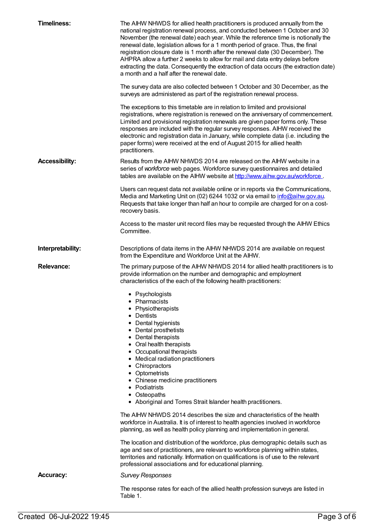| <b>Timeliness:</b>    | The AIHW NHWDS for allied health practitioners is produced annually from the<br>national registration renewal process, and conducted between 1 October and 30<br>November (the renewal date) each year. While the reference time is notionally the<br>renewal date, legislation allows for a 1 month period of grace. Thus, the final<br>registration closure date is 1 month after the renewal date (30 December). The<br>AHPRA allow a further 2 weeks to allow for mail and data entry delays before<br>extracting the data. Consequently the extraction of data occurs (the extraction date)<br>a month and a half after the renewal date.                                                                                                                                                                                                                                                                                                                                            |  |  |  |  |  |  |  |
|-----------------------|-------------------------------------------------------------------------------------------------------------------------------------------------------------------------------------------------------------------------------------------------------------------------------------------------------------------------------------------------------------------------------------------------------------------------------------------------------------------------------------------------------------------------------------------------------------------------------------------------------------------------------------------------------------------------------------------------------------------------------------------------------------------------------------------------------------------------------------------------------------------------------------------------------------------------------------------------------------------------------------------|--|--|--|--|--|--|--|
|                       | The survey data are also collected between 1 October and 30 December, as the<br>surveys are administered as part of the registration renewal process.                                                                                                                                                                                                                                                                                                                                                                                                                                                                                                                                                                                                                                                                                                                                                                                                                                     |  |  |  |  |  |  |  |
|                       | The exceptions to this timetable are in relation to limited and provisional<br>registrations, where registration is renewed on the anniversary of commencement.<br>Limited and provisional registration renewals are given paper forms only. These<br>responses are included with the regular survey responses. AIHW received the<br>electronic and registration data in January, while complete data (i.e. including the<br>paper forms) were received at the end of August 2015 for allied health<br>practitioners.                                                                                                                                                                                                                                                                                                                                                                                                                                                                     |  |  |  |  |  |  |  |
| <b>Accessibility:</b> | Results from the AIHW NHWDS 2014 are released on the AIHW website in a<br>series of workforce web pages. Workforce survey questionnaires and detailed<br>tables are available on the AIHW website at http://www.aihw.gov.au/workforce.                                                                                                                                                                                                                                                                                                                                                                                                                                                                                                                                                                                                                                                                                                                                                    |  |  |  |  |  |  |  |
|                       | Users can request data not available online or in reports via the Communications,<br>Media and Marketing Unit on (02) 6244 1032 or via email to <i>info@aihw.gov.au.</i><br>Requests that take longer than half an hour to compile are charged for on a cost-<br>recovery basis.                                                                                                                                                                                                                                                                                                                                                                                                                                                                                                                                                                                                                                                                                                          |  |  |  |  |  |  |  |
|                       | Access to the master unit record files may be requested through the AIHW Ethics<br>Committee.                                                                                                                                                                                                                                                                                                                                                                                                                                                                                                                                                                                                                                                                                                                                                                                                                                                                                             |  |  |  |  |  |  |  |
| Interpretability:     | Descriptions of data items in the AIHW NHWDS 2014 are available on request<br>from the Expenditure and Workforce Unit at the AIHW.                                                                                                                                                                                                                                                                                                                                                                                                                                                                                                                                                                                                                                                                                                                                                                                                                                                        |  |  |  |  |  |  |  |
| <b>Relevance:</b>     | The primary purpose of the AIHW NHWDS 2014 for allied health practitioners is to<br>provide information on the number and demographic and employment<br>characteristics of the each of the following health practitioners:                                                                                                                                                                                                                                                                                                                                                                                                                                                                                                                                                                                                                                                                                                                                                                |  |  |  |  |  |  |  |
|                       | • Psychologists<br>Pharmacists<br>Physiotherapists<br>• Dentists<br>• Dental hygienists<br>• Dental prosthetists<br>• Dental therapists<br>• Oral health therapists<br>• Occupational therapists<br>• Medical radiation practitioners<br>• Chiropractors<br>• Optometrists<br>• Chinese medicine practitioners<br>• Podiatrists<br>• Osteopaths<br>• Aboriginal and Torres Strait Islander health practitioners.<br>The AIHW NHWDS 2014 describes the size and characteristics of the health<br>workforce in Australia. It is of interest to health agencies involved in workforce<br>planning, as well as health policy planning and implementation in general.<br>The location and distribution of the workforce, plus demographic details such as<br>age and sex of practitioners, are relevant to workforce planning within states,<br>territories and nationally. Information on qualifications is of use to the relevant<br>professional associations and for educational planning. |  |  |  |  |  |  |  |
| <b>Accuracy:</b>      | <b>Survey Responses</b>                                                                                                                                                                                                                                                                                                                                                                                                                                                                                                                                                                                                                                                                                                                                                                                                                                                                                                                                                                   |  |  |  |  |  |  |  |
|                       | The response rates for each of the allied health profession surveys are listed in<br>Table 1.                                                                                                                                                                                                                                                                                                                                                                                                                                                                                                                                                                                                                                                                                                                                                                                                                                                                                             |  |  |  |  |  |  |  |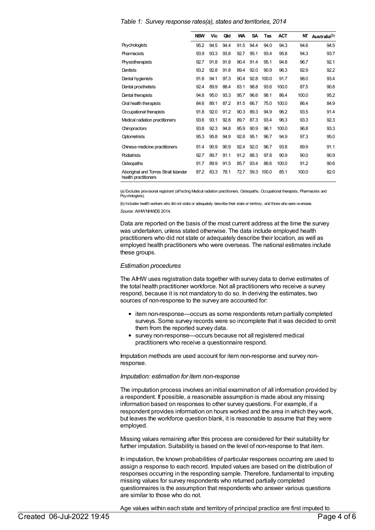|                                                               | <b>NSW</b> | <b>Vic</b> | Qld  | <b>WA</b> | <b>SA</b> | Tas   | <b>ACT</b> | NΤ    | Australia <sup>(b)</sup> |
|---------------------------------------------------------------|------------|------------|------|-----------|-----------|-------|------------|-------|--------------------------|
| <b>Psychologists</b>                                          | 95.2       | 94.5       | 94.4 | 91.5      | 94.4      | 94.0  | 94.3       | 94.6  | 94.5                     |
| <b>Pharmacists</b>                                            | 93.9       | 93.3       | 93.8 | 92.7      | 95.1      | 93.4  | 95.8       | 94.3  | 93.7                     |
| Physiotherapists                                              | 92.7       | 91.8       | 91.8 | 90.4      | 91.4      | 95.1  | 94.8       | 96.7  | 92.1                     |
| Dentists                                                      | 93.2       | 92.8       | 91.8 | 89.4      | 92.0      | 90.9  | 96.3       | 92.9  | 92.2                     |
| Dental hygienists                                             | 91.8       | 94.1       | 97.3 | 90.4      | 92.8      | 100.0 | 91.7       | 98.0  | 93.4                     |
| Dental prosthetists                                           | 92.4       | 89.9       | 88.4 | 83.1      | 98.8      | 93.6  | 100.0      | 87.5  | 90.8                     |
| Dental therapists                                             | 94.8       | 95.0       | 93.3 | 95.7      | 96.6      | 98.1  | 86.4       | 100.0 | 95.2                     |
| Oral health therapists                                        | 84.6       | 89.1       | 87.2 | 81.5      | 66.7      | 75.0  | 100.0      | 86.4  | 84.9                     |
| Occupational therapists                                       | 91.8       | 92.0       | 91.2 | 90.3      | 89.3      | 94.9  | 96.2       | 93.5  | 91.4                     |
| Medical radiation practitioners                               | 93.6       | 93.1       | 92.8 | 89.7      | 87.3      | 93.4  | 96.3       | 93.3  | 92.3                     |
| Chiropractors                                                 | 93.8       | 92.3       | 94.8 | 95.9      | 90.9      | 96.1  | 100.0      | 96.8  | 93.3                     |
| <b>Optometrists</b>                                           | 95.3       | 95.8       | 94.9 | 92.8      | 95.1      | 96.7  | 94.9       | 97.3  | 95.0                     |
| Chinese medicine practitioners                                | 91.4       | 90.9       | 90.9 | 92.4      | 92.0      | 96.7  | 93.8       | 89.9  | 91.1                     |
| <b>Podiatrists</b>                                            | 92.7       | 89.7       | 91.1 | 91.2      | 88.3      | 97.8  | 90.9       | 90.0  | 90.9                     |
| Osteopaths                                                    | 91.7       | 89.9       | 91.5 | 85.7      | 93.4      | 88.6  | 100.0      | 91.2  | 90.6                     |
| Aboriginal and Torres Strait Islander<br>health practitioners | 87.2       | 83.3       | 78.1 | 72.7      | 59.3      | 100.0 | 85.1       | 100.0 | 82.0                     |

*Table 1: Survey response rates(a), states and territories, 2014*

(a) Excludes provisional registrant (affecting Medical radiation practitioners, Osteopaths, Occupational therapists, Pharmacists and Psychologists).

(b) Includes health workers who did not state or adequately describe their state or territory, and those who were overseas. *Source:* AIHWNHWDS 2014.

Data are reported on the basis of the most current address at the time the survey was undertaken, unless stated otherwise. The data include employed health practitioners who did not state or adequately describe their location, as well as employed health practitioners who were overseas. The national estimates include these groups.

#### *Estimation procedures*

The AIHW uses registration data together with survey data to derive estimates of the total health practitioner workforce. Not all practitioners who receive a survey respond, because it is not mandatory to do so. In deriving the estimates, two sources of non-response to the survey are accounted for:

- item non-response—occurs as some respondents return partially completed surveys. Some survey records were so incomplete that it was decided to omit them from the reported survey data.
- survey non-response—occurs because not all registered medical practitioners who receive a questionnaire respond.

Imputation methods are used account for item non-response and survey nonresponse.

#### *Imputation: estimation for item non-response*

The imputation process involves an initial examination of all information provided by a respondent. If possible, a reasonable assumption is made about any missing information based on responses to other survey questions. For example, if a respondent provides information on hours worked and the area in which they work, but leaves the workforce question blank, it is reasonable to assume that they were employed.

Missing values remaining after this process are considered for their suitability for further imputation. Suitability is based on the level of non-response to that item.

In imputation, the known probabilities of particular responses occurring are used to assign a response to each record. Imputed values are based on the distribution of responses occurring in the responding sample. Therefore, fundamental to imputing missing values for survey respondents who returned partially completed questionnaires is the assumption that respondents who answer various questions are similar to those who do not.

Age values within each state and territory of principal practice are first imputed to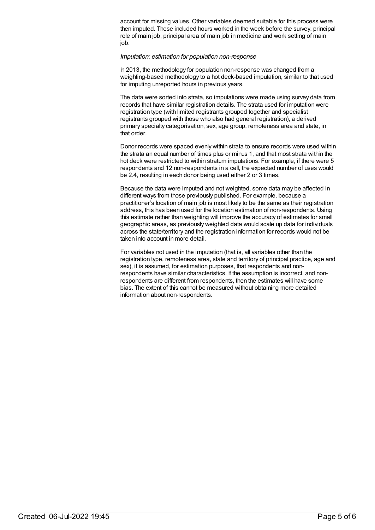account for missing values. Other variables deemed suitable for this process were then imputed. These included hours worked in the week before the survey, principal role of main job, principal area of main job in medicine and work setting of main job.

### *Imputation: estimation for population non-response*

In 2013, the methodology for population non-response was changed from a weighting-based methodology to a hot deck-based imputation, similar to that used for imputing unreported hours in previous years.

The data were sorted into strata, so imputations were made using survey data from records that have similar registration details. The strata used for imputation were registration type (with limited registrants grouped together and specialist registrants grouped with those who also had general registration), a derived primary specialty categorisation, sex, age group, remoteness area and state, in that order.

Donor records were spaced evenly within strata to ensure records were used within the strata an equal number of times plus or minus 1, and that most strata within the hot deck were restricted to within stratum imputations. For example, if there were 5 respondents and 12 non-respondents in a cell, the expected number of uses would be 2.4, resulting in each donor being used either 2 or 3 times.

Because the data were imputed and not weighted, some data may be affected in different ways from those previously published. For example, because a practitioner's location of main job is most likely to be the same as their registration address, this has been used for the location estimation of non-respondents. Using this estimate rather than weighting will improve the accuracy of estimates for small geographic areas, as previously weighted data would scale up data for individuals across the state/territory and the registration information for records would not be taken into account in more detail.

For variables not used in the imputation (that is, all variables other than the registration type, remoteness area, state and territory of principal practice, age and sex), it is assumed, for estimation purposes, that respondents and nonrespondents have similar characteristics. If the assumption is incorrect, and nonrespondents are different from respondents, then the estimates will have some bias. The extent of this cannot be measured without obtaining more detailed information about non-respondents.